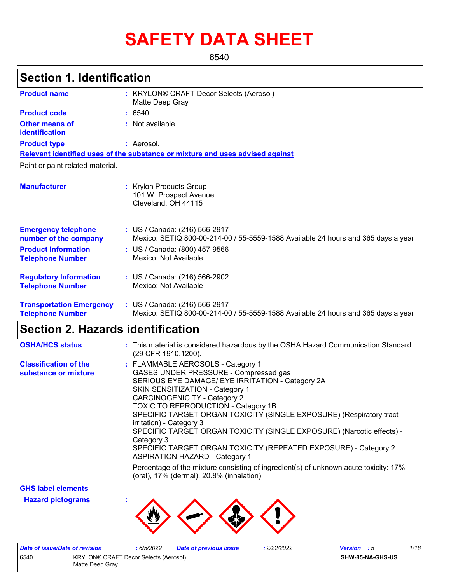# **SAFETY DATA SHEET**

6540

# **Section 1. Identification**

| <b>Product name</b>                                        | : KRYLON® CRAFT Decor Selects (Aerosol)<br>Matte Deep Gray                                                         |
|------------------------------------------------------------|--------------------------------------------------------------------------------------------------------------------|
| <b>Product code</b>                                        | : 6540                                                                                                             |
| <b>Other means of</b><br>identification                    | : Not available.                                                                                                   |
| <b>Product type</b>                                        | : Aerosol.                                                                                                         |
|                                                            | Relevant identified uses of the substance or mixture and uses advised against                                      |
| Paint or paint related material.                           |                                                                                                                    |
| <b>Manufacturer</b>                                        | : Krylon Products Group<br>101 W. Prospect Avenue<br>Cleveland, OH 44115                                           |
| <b>Emergency telephone</b><br>number of the company        | : US / Canada: (216) 566-2917<br>Mexico: SETIQ 800-00-214-00 / 55-5559-1588 Available 24 hours and 365 days a year |
| <b>Product Information</b><br><b>Telephone Number</b>      | : US / Canada: (800) 457-9566<br>Mexico: Not Available                                                             |
| <b>Regulatory Information</b><br><b>Telephone Number</b>   | : US / Canada: (216) 566-2902<br>Mexico: Not Available                                                             |
| <b>Transportation Emergency</b><br><b>Telephone Number</b> | : US / Canada: (216) 566-2917<br>Mexico: SETIQ 800-00-214-00 / 55-5559-1588 Available 24 hours and 365 days a year |

# **Section 2. Hazards identification**

| <b>OSHA/HCS status</b>                               | : This material is considered hazardous by the OSHA Hazard Communication Standard<br>(29 CFR 1910.1200).                                                                                                                                                                                                                                                                                                                                                                                                                                                     |
|------------------------------------------------------|--------------------------------------------------------------------------------------------------------------------------------------------------------------------------------------------------------------------------------------------------------------------------------------------------------------------------------------------------------------------------------------------------------------------------------------------------------------------------------------------------------------------------------------------------------------|
| <b>Classification of the</b><br>substance or mixture | : FLAMMABLE AEROSOLS - Category 1<br>GASES UNDER PRESSURE - Compressed gas<br>SERIOUS EYE DAMAGE/ EYE IRRITATION - Category 2A<br>SKIN SENSITIZATION - Category 1<br><b>CARCINOGENICITY - Category 2</b><br><b>TOXIC TO REPRODUCTION - Category 1B</b><br>SPECIFIC TARGET ORGAN TOXICITY (SINGLE EXPOSURE) (Respiratory tract<br>irritation) - Category 3<br>SPECIFIC TARGET ORGAN TOXICITY (SINGLE EXPOSURE) (Narcotic effects) -<br>Category 3<br>SPECIFIC TARGET ORGAN TOXICITY (REPEATED EXPOSURE) - Category 2<br><b>ASPIRATION HAZARD - Category 1</b> |
|                                                      | Percentage of the mixture consisting of ingredient(s) of unknown acute toxicity: 17%<br>(oral), 17% (dermal), 20.8% (inhalation)                                                                                                                                                                                                                                                                                                                                                                                                                             |

**GHS label elements**

**Hazard pictograms :**



| Date of issue/Date of revision                                   |  | : 6/5/2022 | <b>Date of previous issue</b> | .2/22/2022 | <b>Version</b> : 5 | 1/18 |
|------------------------------------------------------------------|--|------------|-------------------------------|------------|--------------------|------|
| 6540<br>KRYLON® CRAFT Decor Selects (Aerosol)<br>Matte Deep Grav |  |            |                               |            | SHW-85-NA-GHS-US   |      |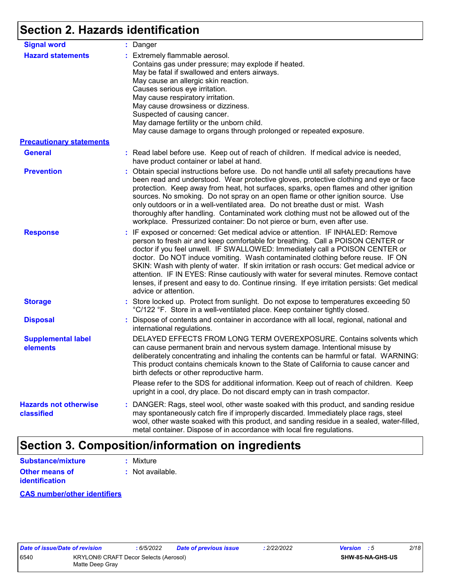# **Section 2. Hazards identification**

| <b>Signal word</b>                         | : Danger                                                                                                                                                                                                                                                                                                                                                                                                                                                                                                                                                                                                                                           |
|--------------------------------------------|----------------------------------------------------------------------------------------------------------------------------------------------------------------------------------------------------------------------------------------------------------------------------------------------------------------------------------------------------------------------------------------------------------------------------------------------------------------------------------------------------------------------------------------------------------------------------------------------------------------------------------------------------|
| <b>Hazard statements</b>                   | : Extremely flammable aerosol.<br>Contains gas under pressure; may explode if heated.<br>May be fatal if swallowed and enters airways.<br>May cause an allergic skin reaction.<br>Causes serious eye irritation.<br>May cause respiratory irritation.<br>May cause drowsiness or dizziness.<br>Suspected of causing cancer.<br>May damage fertility or the unborn child.<br>May cause damage to organs through prolonged or repeated exposure.                                                                                                                                                                                                     |
| <b>Precautionary statements</b>            |                                                                                                                                                                                                                                                                                                                                                                                                                                                                                                                                                                                                                                                    |
| <b>General</b>                             | : Read label before use. Keep out of reach of children. If medical advice is needed,<br>have product container or label at hand.                                                                                                                                                                                                                                                                                                                                                                                                                                                                                                                   |
| <b>Prevention</b>                          | : Obtain special instructions before use. Do not handle until all safety precautions have<br>been read and understood. Wear protective gloves, protective clothing and eye or face<br>protection. Keep away from heat, hot surfaces, sparks, open flames and other ignition<br>sources. No smoking. Do not spray on an open flame or other ignition source. Use<br>only outdoors or in a well-ventilated area. Do not breathe dust or mist. Wash<br>thoroughly after handling. Contaminated work clothing must not be allowed out of the<br>workplace. Pressurized container: Do not pierce or burn, even after use.                               |
| <b>Response</b>                            | : IF exposed or concerned: Get medical advice or attention. IF INHALED: Remove<br>person to fresh air and keep comfortable for breathing. Call a POISON CENTER or<br>doctor if you feel unwell. IF SWALLOWED: Immediately call a POISON CENTER or<br>doctor. Do NOT induce vomiting. Wash contaminated clothing before reuse. IF ON<br>SKIN: Wash with plenty of water. If skin irritation or rash occurs: Get medical advice or<br>attention. IF IN EYES: Rinse cautiously with water for several minutes. Remove contact<br>lenses, if present and easy to do. Continue rinsing. If eye irritation persists: Get medical<br>advice or attention. |
| <b>Storage</b>                             | : Store locked up. Protect from sunlight. Do not expose to temperatures exceeding 50<br>°C/122 °F. Store in a well-ventilated place. Keep container tightly closed.                                                                                                                                                                                                                                                                                                                                                                                                                                                                                |
| <b>Disposal</b>                            | : Dispose of contents and container in accordance with all local, regional, national and<br>international regulations.                                                                                                                                                                                                                                                                                                                                                                                                                                                                                                                             |
| <b>Supplemental label</b><br>elements      | DELAYED EFFECTS FROM LONG TERM OVEREXPOSURE. Contains solvents which<br>can cause permanent brain and nervous system damage. Intentional misuse by<br>deliberately concentrating and inhaling the contents can be harmful or fatal. WARNING:<br>This product contains chemicals known to the State of California to cause cancer and<br>birth defects or other reproductive harm.                                                                                                                                                                                                                                                                  |
|                                            | Please refer to the SDS for additional information. Keep out of reach of children. Keep<br>upright in a cool, dry place. Do not discard empty can in trash compactor.                                                                                                                                                                                                                                                                                                                                                                                                                                                                              |
| <b>Hazards not otherwise</b><br>classified | : DANGER: Rags, steel wool, other waste soaked with this product, and sanding residue<br>may spontaneously catch fire if improperly discarded. Immediately place rags, steel<br>wool, other waste soaked with this product, and sanding residue in a sealed, water-filled,<br>metal container. Dispose of in accordance with local fire regulations.                                                                                                                                                                                                                                                                                               |

# **Section 3. Composition/information on ingredients**

| Substance/mixture     | : Mixture        |
|-----------------------|------------------|
| <b>Other means of</b> | : Not available. |
| <b>identification</b> |                  |

### **CAS number/other identifiers**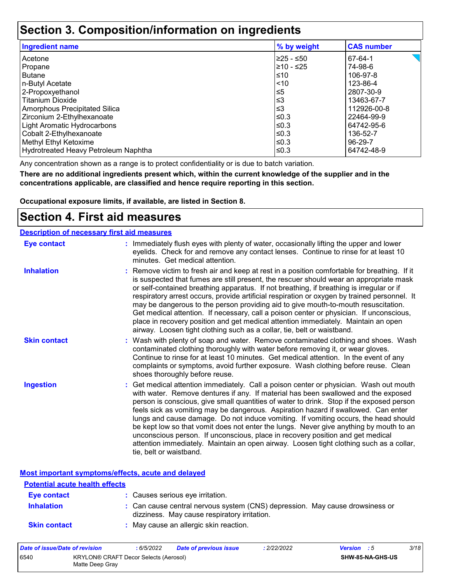# **Section 3. Composition/information on ingredients**

| <b>Ingredient name</b>               | % by weight | <b>CAS number</b> |
|--------------------------------------|-------------|-------------------|
| Acetone                              | 225 - ≤50   | 67-64-1           |
| Propane                              | 210 - ≤25   | 74-98-6           |
| <b>Butane</b>                        | ≤10         | 106-97-8          |
| n-Butyl Acetate                      | $ $ < 10    | 123-86-4          |
| 2-Propoxyethanol                     | l≤5         | 2807-30-9         |
| <b>Titanium Dioxide</b>              | ∣≤3         | 13463-67-7        |
| Amorphous Precipitated Silica        | l≤3         | 112926-00-8       |
| Zirconium 2-Ethylhexanoate           | l≤0.3       | 22464-99-9        |
| Light Aromatic Hydrocarbons          | $\leq$ 0.3  | 64742-95-6        |
| Cobalt 2-Ethylhexanoate              | l≤0.3       | 136-52-7          |
| Methyl Ethyl Ketoxime                | $\leq$ 0.3  | 96-29-7           |
| Hydrotreated Heavy Petroleum Naphtha | l≤0.3       | 64742-48-9        |

Any concentration shown as a range is to protect confidentiality or is due to batch variation.

**There are no additional ingredients present which, within the current knowledge of the supplier and in the concentrations applicable, are classified and hence require reporting in this section.**

**Occupational exposure limits, if available, are listed in Section 8.**

## **Section 4. First aid measures**

| <b>Description of necessary first aid measures</b> |                                                                                                                                                                                                                                                                                                                                                                                                                                                                                                                                                                                                                                                                                                                                                         |
|----------------------------------------------------|---------------------------------------------------------------------------------------------------------------------------------------------------------------------------------------------------------------------------------------------------------------------------------------------------------------------------------------------------------------------------------------------------------------------------------------------------------------------------------------------------------------------------------------------------------------------------------------------------------------------------------------------------------------------------------------------------------------------------------------------------------|
| <b>Eye contact</b>                                 | : Immediately flush eyes with plenty of water, occasionally lifting the upper and lower<br>eyelids. Check for and remove any contact lenses. Continue to rinse for at least 10<br>minutes. Get medical attention.                                                                                                                                                                                                                                                                                                                                                                                                                                                                                                                                       |
| <b>Inhalation</b>                                  | : Remove victim to fresh air and keep at rest in a position comfortable for breathing. If it<br>is suspected that fumes are still present, the rescuer should wear an appropriate mask<br>or self-contained breathing apparatus. If not breathing, if breathing is irregular or if<br>respiratory arrest occurs, provide artificial respiration or oxygen by trained personnel. It<br>may be dangerous to the person providing aid to give mouth-to-mouth resuscitation.<br>Get medical attention. If necessary, call a poison center or physician. If unconscious,<br>place in recovery position and get medical attention immediately. Maintain an open<br>airway. Loosen tight clothing such as a collar, tie, belt or waistband.                    |
| <b>Skin contact</b>                                | : Wash with plenty of soap and water. Remove contaminated clothing and shoes. Wash<br>contaminated clothing thoroughly with water before removing it, or wear gloves.<br>Continue to rinse for at least 10 minutes. Get medical attention. In the event of any<br>complaints or symptoms, avoid further exposure. Wash clothing before reuse. Clean<br>shoes thoroughly before reuse.                                                                                                                                                                                                                                                                                                                                                                   |
| <b>Ingestion</b>                                   | : Get medical attention immediately. Call a poison center or physician. Wash out mouth<br>with water. Remove dentures if any. If material has been swallowed and the exposed<br>person is conscious, give small quantities of water to drink. Stop if the exposed person<br>feels sick as vomiting may be dangerous. Aspiration hazard if swallowed. Can enter<br>lungs and cause damage. Do not induce vomiting. If vomiting occurs, the head should<br>be kept low so that vomit does not enter the lungs. Never give anything by mouth to an<br>unconscious person. If unconscious, place in recovery position and get medical<br>attention immediately. Maintain an open airway. Loosen tight clothing such as a collar,<br>tie, belt or waistband. |

**Most important symptoms/effects, acute and delayed**

| <b>Potential acute health effects</b> |                                                                                                                              |
|---------------------------------------|------------------------------------------------------------------------------------------------------------------------------|
| Eye contact                           | : Causes serious eye irritation.                                                                                             |
| <b>Inhalation</b>                     | : Can cause central nervous system (CNS) depression. May cause drowsiness or<br>dizziness. May cause respiratory irritation. |
| <b>Skin contact</b>                   | : May cause an allergic skin reaction.                                                                                       |

| Date of issue/Date of revision |                                                          | : 6/5/2022 | <b>Date of previous issue</b> | .2/22/2022 | <b>Version</b> : 5 |                  | 3/18 |
|--------------------------------|----------------------------------------------------------|------------|-------------------------------|------------|--------------------|------------------|------|
| 6540                           | KRYLON® CRAFT Decor Selects (Aerosol)<br>Matte Deep Gray |            |                               |            |                    | SHW-85-NA-GHS-US |      |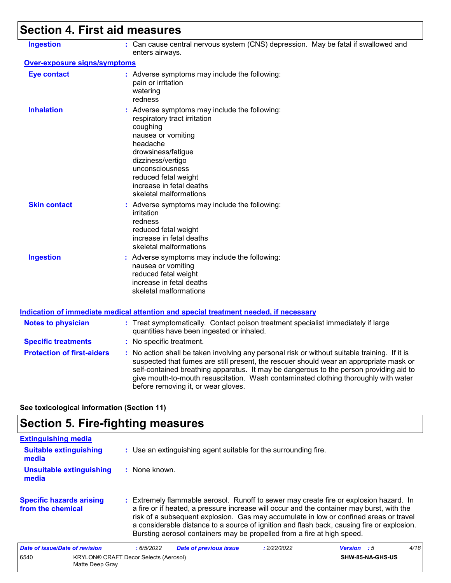# **Section 4. First aid measures**

| <b>Ingestion</b>                    | : Can cause central nervous system (CNS) depression. May be fatal if swallowed and<br>enters airways.                                                                                                                                                                                                                                                                                                           |
|-------------------------------------|-----------------------------------------------------------------------------------------------------------------------------------------------------------------------------------------------------------------------------------------------------------------------------------------------------------------------------------------------------------------------------------------------------------------|
| <b>Over-exposure signs/symptoms</b> |                                                                                                                                                                                                                                                                                                                                                                                                                 |
| <b>Eye contact</b>                  | : Adverse symptoms may include the following:<br>pain or irritation<br>watering<br>redness                                                                                                                                                                                                                                                                                                                      |
| <b>Inhalation</b>                   | : Adverse symptoms may include the following:<br>respiratory tract irritation<br>coughing<br>nausea or vomiting<br>headache<br>drowsiness/fatigue<br>dizziness/vertigo<br>unconsciousness<br>reduced fetal weight<br>increase in fetal deaths<br>skeletal malformations                                                                                                                                         |
| <b>Skin contact</b>                 | : Adverse symptoms may include the following:<br>irritation<br>redness<br>reduced fetal weight<br>increase in fetal deaths<br>skeletal malformations                                                                                                                                                                                                                                                            |
| <b>Ingestion</b>                    | : Adverse symptoms may include the following:<br>nausea or vomiting<br>reduced fetal weight<br>increase in fetal deaths<br>skeletal malformations                                                                                                                                                                                                                                                               |
|                                     | <b>Indication of immediate medical attention and special treatment needed, if necessary</b>                                                                                                                                                                                                                                                                                                                     |
| <b>Notes to physician</b>           | : Treat symptomatically. Contact poison treatment specialist immediately if large<br>quantities have been ingested or inhaled.                                                                                                                                                                                                                                                                                  |
| <b>Specific treatments</b>          | : No specific treatment.                                                                                                                                                                                                                                                                                                                                                                                        |
| <b>Protection of first-aiders</b>   | : No action shall be taken involving any personal risk or without suitable training. If it is<br>suspected that fumes are still present, the rescuer should wear an appropriate mask or<br>self-contained breathing apparatus. It may be dangerous to the person providing aid to<br>give mouth-to-mouth resuscitation. Wash contaminated clothing thoroughly with water<br>before removing it, or wear gloves. |

**See toxicological information (Section 11)**

# **Section 5. Fire-fighting measures**

| <b>Extinguishing media</b>                           |                                                                                                                                                                                                                                                                                                                                                                                                                                                       |                    |      |
|------------------------------------------------------|-------------------------------------------------------------------------------------------------------------------------------------------------------------------------------------------------------------------------------------------------------------------------------------------------------------------------------------------------------------------------------------------------------------------------------------------------------|--------------------|------|
| <b>Suitable extinguishing</b><br>media               | : Use an extinguishing agent suitable for the surrounding fire.                                                                                                                                                                                                                                                                                                                                                                                       |                    |      |
| <b>Unsuitable extinguishing</b><br>media             | : None known.                                                                                                                                                                                                                                                                                                                                                                                                                                         |                    |      |
| <b>Specific hazards arising</b><br>from the chemical | : Extremely flammable aerosol. Runoff to sewer may create fire or explosion hazard. In<br>a fire or if heated, a pressure increase will occur and the container may burst, with the<br>risk of a subsequent explosion. Gas may accumulate in low or confined areas or travel<br>a considerable distance to a source of ignition and flash back, causing fire or explosion.<br>Bursting aerosol containers may be propelled from a fire at high speed. |                    |      |
| Date of issue/Date of revision                       | <b>Date of previous issue</b><br>: 6/5/2022<br>: 2/22/2022                                                                                                                                                                                                                                                                                                                                                                                            | <b>Version</b> : 5 | 4/18 |
| 6540<br>Matte Deep Gray                              | KRYLON® CRAFT Decor Selects (Aerosol)                                                                                                                                                                                                                                                                                                                                                                                                                 | SHW-85-NA-GHS-US   |      |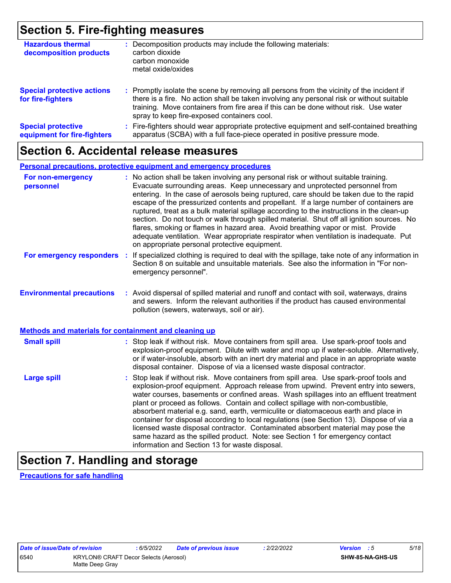# **Section 5. Fire-fighting measures**

| <b>Hazardous thermal</b><br>decomposition products       | Decomposition products may include the following materials:<br>carbon dioxide<br>carbon monoxide<br>metal oxide/oxides                                                                                                                                                                                                        |
|----------------------------------------------------------|-------------------------------------------------------------------------------------------------------------------------------------------------------------------------------------------------------------------------------------------------------------------------------------------------------------------------------|
| <b>Special protective actions</b><br>for fire-fighters   | : Promptly isolate the scene by removing all persons from the vicinity of the incident if<br>there is a fire. No action shall be taken involving any personal risk or without suitable<br>training. Move containers from fire area if this can be done without risk. Use water<br>spray to keep fire-exposed containers cool. |
| <b>Special protective</b><br>equipment for fire-fighters | Fire-fighters should wear appropriate protective equipment and self-contained breathing<br>apparatus (SCBA) with a full face-piece operated in positive pressure mode.                                                                                                                                                        |

## **Section 6. Accidental release measures**

### **Personal precautions, protective equipment and emergency procedures**

| For non-emergency<br>personnel                        | : No action shall be taken involving any personal risk or without suitable training.<br>Evacuate surrounding areas. Keep unnecessary and unprotected personnel from<br>entering. In the case of aerosols being ruptured, care should be taken due to the rapid<br>escape of the pressurized contents and propellant. If a large number of containers are<br>ruptured, treat as a bulk material spillage according to the instructions in the clean-up<br>section. Do not touch or walk through spilled material. Shut off all ignition sources. No<br>flares, smoking or flames in hazard area. Avoid breathing vapor or mist. Provide<br>adequate ventilation. Wear appropriate respirator when ventilation is inadequate. Put<br>on appropriate personal protective equipment. |
|-------------------------------------------------------|----------------------------------------------------------------------------------------------------------------------------------------------------------------------------------------------------------------------------------------------------------------------------------------------------------------------------------------------------------------------------------------------------------------------------------------------------------------------------------------------------------------------------------------------------------------------------------------------------------------------------------------------------------------------------------------------------------------------------------------------------------------------------------|
| For emergency responders                              | : If specialized clothing is required to deal with the spillage, take note of any information in<br>Section 8 on suitable and unsuitable materials. See also the information in "For non-<br>emergency personnel".                                                                                                                                                                                                                                                                                                                                                                                                                                                                                                                                                               |
| <b>Environmental precautions</b>                      | : Avoid dispersal of spilled material and runoff and contact with soil, waterways, drains<br>and sewers. Inform the relevant authorities if the product has caused environmental<br>pollution (sewers, waterways, soil or air).                                                                                                                                                                                                                                                                                                                                                                                                                                                                                                                                                  |
| Methods and materials for containment and cleaning up |                                                                                                                                                                                                                                                                                                                                                                                                                                                                                                                                                                                                                                                                                                                                                                                  |
| <b>Small spill</b>                                    | : Stop leak if without risk. Move containers from spill area. Use spark-proof tools and<br>explosion-proof equipment. Dilute with water and mop up if water-soluble. Alternatively,<br>or if water-insoluble, absorb with an inert dry material and place in an appropriate waste<br>disposal container. Dispose of via a licensed waste disposal contractor.                                                                                                                                                                                                                                                                                                                                                                                                                    |
| <b>Large spill</b>                                    | : Stop leak if without risk. Move containers from spill area. Use spark-proof tools and<br>explosion-proof equipment. Approach release from upwind. Prevent entry into sewers,<br>water courses, basements or confined areas. Wash spillages into an effluent treatment<br>plant or proceed as follows. Contain and collect spillage with non-combustible,<br>absorbent material e.g. sand, earth, vermiculite or diatomaceous earth and place in<br>container for disposal according to local regulations (see Section 13). Dispose of via a<br>licensed waste disposal contractor. Contaminated absorbent material may pose the<br>same hazard as the spilled product. Note: see Section 1 for emergency contact<br>information and Section 13 for waste disposal.             |

# **Section 7. Handling and storage**

**Precautions for safe handling**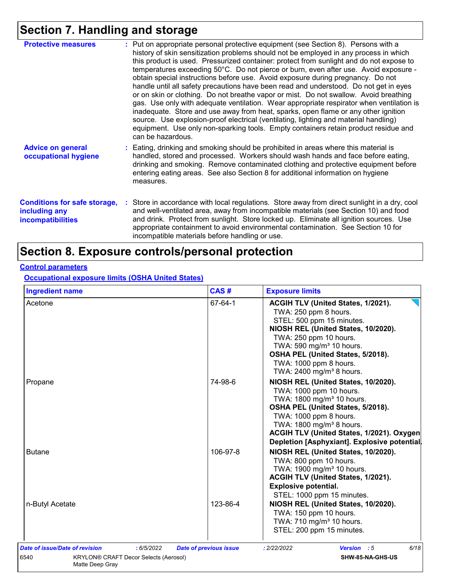# **Section 7. Handling and storage**

| <b>Protective measures</b>                                                       | : Put on appropriate personal protective equipment (see Section 8). Persons with a<br>history of skin sensitization problems should not be employed in any process in which<br>this product is used. Pressurized container: protect from sunlight and do not expose to<br>temperatures exceeding 50°C. Do not pierce or burn, even after use. Avoid exposure -<br>obtain special instructions before use. Avoid exposure during pregnancy. Do not<br>handle until all safety precautions have been read and understood. Do not get in eyes<br>or on skin or clothing. Do not breathe vapor or mist. Do not swallow. Avoid breathing<br>gas. Use only with adequate ventilation. Wear appropriate respirator when ventilation is<br>inadequate. Store and use away from heat, sparks, open flame or any other ignition<br>source. Use explosion-proof electrical (ventilating, lighting and material handling)<br>equipment. Use only non-sparking tools. Empty containers retain product residue and<br>can be hazardous. |
|----------------------------------------------------------------------------------|---------------------------------------------------------------------------------------------------------------------------------------------------------------------------------------------------------------------------------------------------------------------------------------------------------------------------------------------------------------------------------------------------------------------------------------------------------------------------------------------------------------------------------------------------------------------------------------------------------------------------------------------------------------------------------------------------------------------------------------------------------------------------------------------------------------------------------------------------------------------------------------------------------------------------------------------------------------------------------------------------------------------------|
| <b>Advice on general</b><br>occupational hygiene                                 | : Eating, drinking and smoking should be prohibited in areas where this material is<br>handled, stored and processed. Workers should wash hands and face before eating,<br>drinking and smoking. Remove contaminated clothing and protective equipment before<br>entering eating areas. See also Section 8 for additional information on hygiene<br>measures.                                                                                                                                                                                                                                                                                                                                                                                                                                                                                                                                                                                                                                                             |
| <b>Conditions for safe storage,</b><br>including any<br><b>incompatibilities</b> | : Store in accordance with local regulations. Store away from direct sunlight in a dry, cool<br>and well-ventilated area, away from incompatible materials (see Section 10) and food<br>and drink. Protect from sunlight. Store locked up. Eliminate all ignition sources. Use<br>appropriate containment to avoid environmental contamination. See Section 10 for<br>incompatible materials before handling or use.                                                                                                                                                                                                                                                                                                                                                                                                                                                                                                                                                                                                      |

# **Section 8. Exposure controls/personal protection**

## **Control parameters**

**Occupational exposure limits (OSHA United States)**

| <b>Ingredient name</b>                                                                                                         | CAS#                          | <b>Exposure limits</b>                                                                                                                                                                                                                                                                                      |
|--------------------------------------------------------------------------------------------------------------------------------|-------------------------------|-------------------------------------------------------------------------------------------------------------------------------------------------------------------------------------------------------------------------------------------------------------------------------------------------------------|
| Acetone                                                                                                                        | 67-64-1                       | ACGIH TLV (United States, 1/2021).<br>TWA: 250 ppm 8 hours.<br>STEL: 500 ppm 15 minutes.<br>NIOSH REL (United States, 10/2020).<br>TWA: 250 ppm 10 hours.<br>TWA: 590 mg/m <sup>3</sup> 10 hours.<br>OSHA PEL (United States, 5/2018).<br>TWA: 1000 ppm 8 hours.<br>TWA: 2400 mg/m <sup>3</sup> 8 hours.    |
| Propane                                                                                                                        | 74-98-6                       | NIOSH REL (United States, 10/2020).<br>TWA: 1000 ppm 10 hours.<br>TWA: 1800 mg/m <sup>3</sup> 10 hours.<br>OSHA PEL (United States, 5/2018).<br>TWA: 1000 ppm 8 hours.<br>TWA: 1800 mg/m <sup>3</sup> 8 hours.<br>ACGIH TLV (United States, 1/2021). Oxygen<br>Depletion [Asphyxiant]. Explosive potential. |
| <b>Butane</b>                                                                                                                  | 106-97-8                      | NIOSH REL (United States, 10/2020).<br>TWA: 800 ppm 10 hours.<br>TWA: 1900 mg/m <sup>3</sup> 10 hours.<br>ACGIH TLV (United States, 1/2021).<br><b>Explosive potential.</b><br>STEL: 1000 ppm 15 minutes.                                                                                                   |
| n-Butyl Acetate                                                                                                                | 123-86-4                      | NIOSH REL (United States, 10/2020).<br>TWA: 150 ppm 10 hours.<br>TWA: 710 mg/m <sup>3</sup> 10 hours.<br>STEL: 200 ppm 15 minutes.                                                                                                                                                                          |
| <b>Date of issue/Date of revision</b><br>: 6/5/2022<br>6540<br><b>KRYLON® CRAFT Decor Selects (Aerosol)</b><br>Matte Deep Gray | <b>Date of previous issue</b> | 6/18<br>: 2/22/2022<br><b>Version</b> : 5<br>SHW-85-NA-GHS-US                                                                                                                                                                                                                                               |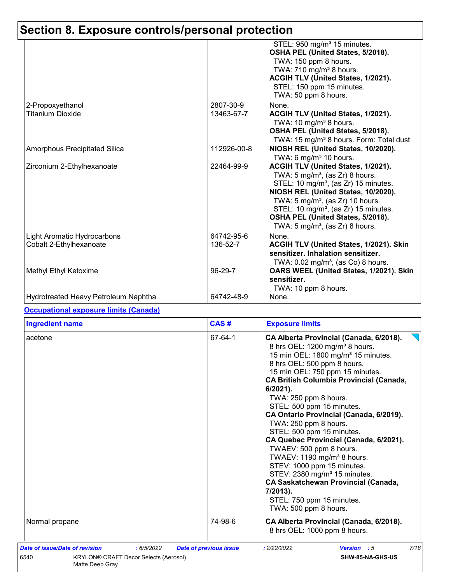|                                                        |                        | STEL: 950 mg/m <sup>3</sup> 15 minutes.<br>OSHA PEL (United States, 5/2018).<br>TWA: 150 ppm 8 hours.<br>TWA: 710 mg/m <sup>3</sup> 8 hours.<br>ACGIH TLV (United States, 1/2021).<br>STEL: 150 ppm 15 minutes.<br>TWA: 50 ppm 8 hours.                                                                                                                           |
|--------------------------------------------------------|------------------------|-------------------------------------------------------------------------------------------------------------------------------------------------------------------------------------------------------------------------------------------------------------------------------------------------------------------------------------------------------------------|
| 2-Propoxyethanol                                       | 2807-30-9              | None.                                                                                                                                                                                                                                                                                                                                                             |
| <b>Titanium Dioxide</b>                                | 13463-67-7             | ACGIH TLV (United States, 1/2021).<br>TWA: 10 mg/m <sup>3</sup> 8 hours.<br>OSHA PEL (United States, 5/2018).<br>TWA: 15 mg/m <sup>3</sup> 8 hours. Form: Total dust                                                                                                                                                                                              |
| <b>Amorphous Precipitated Silica</b>                   | 112926-00-8            | NIOSH REL (United States, 10/2020).<br>TWA: 6 mg/m <sup>3</sup> 10 hours.                                                                                                                                                                                                                                                                                         |
| Zirconium 2-Ethylhexanoate                             | 22464-99-9             | ACGIH TLV (United States, 1/2021).<br>TWA: $5 \text{ mg/m}^3$ , (as Zr) 8 hours.<br>STEL: 10 mg/m <sup>3</sup> , (as Zr) 15 minutes.<br>NIOSH REL (United States, 10/2020).<br>TWA: $5 \text{ mg/m}^3$ , (as Zr) 10 hours.<br>STEL: 10 mg/m <sup>3</sup> , (as Zr) 15 minutes.<br>OSHA PEL (United States, 5/2018).<br>TWA: $5 \text{ mg/m}^3$ , (as Zr) 8 hours. |
| Light Aromatic Hydrocarbons<br>Cobalt 2-Ethylhexanoate | 64742-95-6<br>136-52-7 | None.<br>ACGIH TLV (United States, 1/2021). Skin<br>sensitizer. Inhalation sensitizer.<br>TWA: $0.02$ mg/m <sup>3</sup> , (as Co) 8 hours.                                                                                                                                                                                                                        |
| Methyl Ethyl Ketoxime                                  | 96-29-7                | OARS WEEL (United States, 1/2021). Skin<br>sensitizer.<br>TWA: 10 ppm 8 hours.                                                                                                                                                                                                                                                                                    |
| Hydrotreated Heavy Petroleum Naphtha                   | 64742-48-9             | None.                                                                                                                                                                                                                                                                                                                                                             |

## **Occupational exposure limits (Canada)**

| <b>Ingredient name</b>                                                                                                  | CAS#<br><b>Exposure limits</b> |                                                                                                                                                                                                                                                                                                                                                                                                                                                                                                                                                                                                                                                                                                                                            |  |
|-------------------------------------------------------------------------------------------------------------------------|--------------------------------|--------------------------------------------------------------------------------------------------------------------------------------------------------------------------------------------------------------------------------------------------------------------------------------------------------------------------------------------------------------------------------------------------------------------------------------------------------------------------------------------------------------------------------------------------------------------------------------------------------------------------------------------------------------------------------------------------------------------------------------------|--|
| acetone                                                                                                                 | 67-64-1                        | CA Alberta Provincial (Canada, 6/2018).<br>8 hrs OEL: 1200 mg/m <sup>3</sup> 8 hours.<br>15 min OEL: 1800 mg/m <sup>3</sup> 15 minutes.<br>8 hrs OEL: 500 ppm 8 hours.<br>15 min OEL: 750 ppm 15 minutes.<br><b>CA British Columbia Provincial (Canada,</b><br>$6/2021$ ).<br>TWA: 250 ppm 8 hours.<br>STEL: 500 ppm 15 minutes.<br>CA Ontario Provincial (Canada, 6/2019).<br>TWA: 250 ppm 8 hours.<br>STEL: 500 ppm 15 minutes.<br>CA Quebec Provincial (Canada, 6/2021).<br>TWAEV: 500 ppm 8 hours.<br>TWAEV: 1190 mg/m <sup>3</sup> 8 hours.<br>STEV: 1000 ppm 15 minutes.<br>STEV: 2380 mg/m <sup>3</sup> 15 minutes.<br><b>CA Saskatchewan Provincial (Canada,</b><br>7/2013).<br>STEL: 750 ppm 15 minutes.<br>TWA: 500 ppm 8 hours. |  |
| Normal propane                                                                                                          | 74-98-6                        | CA Alberta Provincial (Canada, 6/2018).<br>8 hrs OEL: 1000 ppm 8 hours.                                                                                                                                                                                                                                                                                                                                                                                                                                                                                                                                                                                                                                                                    |  |
| Date of issue/Date of revision<br>: 6/5/2022<br>6540<br><b>KRYLON® CRAFT Decor Selects (Aerosol)</b><br>Matte Deep Gray | <b>Date of previous issue</b>  | 7/18<br>: 2/22/2022<br><b>Version</b> : 5<br>SHW-85-NA-GHS-US                                                                                                                                                                                                                                                                                                                                                                                                                                                                                                                                                                                                                                                                              |  |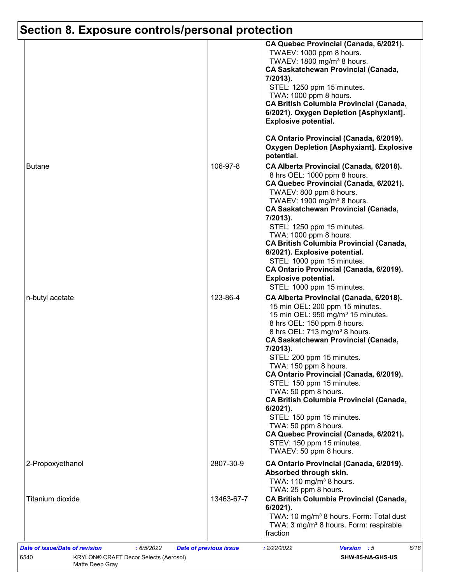|                  |            | CA Quebec Provincial (Canada, 6/2021).<br>TWAEV: 1000 ppm 8 hours.<br>TWAEV: 1800 mg/m <sup>3</sup> 8 hours.<br><b>CA Saskatchewan Provincial (Canada,</b><br>7/2013).<br>STEL: 1250 ppm 15 minutes.<br>TWA: 1000 ppm 8 hours.<br><b>CA British Columbia Provincial (Canada,</b><br>6/2021). Oxygen Depletion [Asphyxiant].<br><b>Explosive potential.</b><br>CA Ontario Provincial (Canada, 6/2019).                                                                                                                                                                                                                                          |
|------------------|------------|------------------------------------------------------------------------------------------------------------------------------------------------------------------------------------------------------------------------------------------------------------------------------------------------------------------------------------------------------------------------------------------------------------------------------------------------------------------------------------------------------------------------------------------------------------------------------------------------------------------------------------------------|
|                  |            | <b>Oxygen Depletion [Asphyxiant]. Explosive</b><br>potential.                                                                                                                                                                                                                                                                                                                                                                                                                                                                                                                                                                                  |
| <b>Butane</b>    | 106-97-8   | CA Alberta Provincial (Canada, 6/2018).<br>8 hrs OEL: 1000 ppm 8 hours.<br>CA Quebec Provincial (Canada, 6/2021).<br>TWAEV: 800 ppm 8 hours.<br>TWAEV: 1900 mg/m <sup>3</sup> 8 hours.<br><b>CA Saskatchewan Provincial (Canada,</b><br>7/2013).<br>STEL: 1250 ppm 15 minutes.<br>TWA: 1000 ppm 8 hours.<br><b>CA British Columbia Provincial (Canada,</b><br>6/2021). Explosive potential.<br>STEL: 1000 ppm 15 minutes.<br>CA Ontario Provincial (Canada, 6/2019).<br><b>Explosive potential.</b><br>STEL: 1000 ppm 15 minutes.                                                                                                              |
| n-butyl acetate  | 123-86-4   | CA Alberta Provincial (Canada, 6/2018).<br>15 min OEL: 200 ppm 15 minutes.<br>15 min OEL: 950 mg/m <sup>3</sup> 15 minutes.<br>8 hrs OEL: 150 ppm 8 hours.<br>8 hrs OEL: 713 mg/m <sup>3</sup> 8 hours.<br><b>CA Saskatchewan Provincial (Canada,</b><br>7/2013).<br>STEL: 200 ppm 15 minutes.<br>TWA: 150 ppm 8 hours.<br>CA Ontario Provincial (Canada, 6/2019).<br>STEL: 150 ppm 15 minutes.<br>TWA: 50 ppm 8 hours.<br><b>CA British Columbia Provincial (Canada,</b><br>$6/2021$ ).<br>STEL: 150 ppm 15 minutes.<br>TWA: 50 ppm 8 hours.<br>CA Quebec Provincial (Canada, 6/2021).<br>STEV: 150 ppm 15 minutes.<br>TWAEV: 50 ppm 8 hours. |
| 2-Propoxyethanol | 2807-30-9  | CA Ontario Provincial (Canada, 6/2019).<br>Absorbed through skin.<br>TWA: 110 mg/m <sup>3</sup> 8 hours.                                                                                                                                                                                                                                                                                                                                                                                                                                                                                                                                       |
| Titanium dioxide | 13463-67-7 | TWA: 25 ppm 8 hours.<br><b>CA British Columbia Provincial (Canada,</b><br>$6/2021$ ).<br>TWA: 10 mg/m <sup>3</sup> 8 hours. Form: Total dust<br>TWA: 3 mg/m <sup>3</sup> 8 hours. Form: respirable<br>fraction                                                                                                                                                                                                                                                                                                                                                                                                                                 |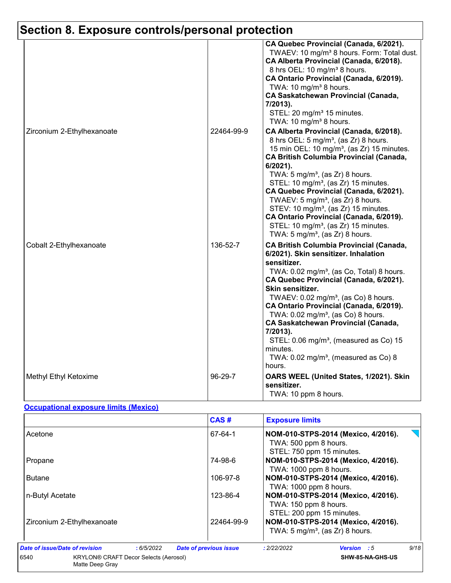| Zirconium 2-Ethylhexanoate | 22464-99-9 | CA Quebec Provincial (Canada, 6/2021).<br>TWAEV: 10 mg/m <sup>3</sup> 8 hours. Form: Total dust.<br>CA Alberta Provincial (Canada, 6/2018).<br>8 hrs OEL: 10 mg/m <sup>3</sup> 8 hours.<br>CA Ontario Provincial (Canada, 6/2019).<br>TWA: 10 mg/m <sup>3</sup> 8 hours.<br><b>CA Saskatchewan Provincial (Canada,</b><br>7/2013).<br>STEL: 20 mg/m <sup>3</sup> 15 minutes.<br>TWA: 10 mg/m <sup>3</sup> 8 hours.<br>CA Alberta Provincial (Canada, 6/2018).<br>8 hrs OEL: 5 mg/m <sup>3</sup> , (as Zr) 8 hours.<br>15 min OEL: 10 mg/m <sup>3</sup> , (as Zr) 15 minutes.<br><b>CA British Columbia Provincial (Canada,</b><br>6/2021).<br>TWA: $5 \text{ mg/m}^3$ , (as Zr) 8 hours.<br>STEL: 10 mg/m <sup>3</sup> , (as Zr) 15 minutes.<br>CA Quebec Provincial (Canada, 6/2021).<br>TWAEV: $5 \text{ mg/m}^3$ , (as Zr) 8 hours.<br>STEV: 10 mg/m <sup>3</sup> , (as Zr) 15 minutes.<br>CA Ontario Provincial (Canada, 6/2019). |
|----------------------------|------------|---------------------------------------------------------------------------------------------------------------------------------------------------------------------------------------------------------------------------------------------------------------------------------------------------------------------------------------------------------------------------------------------------------------------------------------------------------------------------------------------------------------------------------------------------------------------------------------------------------------------------------------------------------------------------------------------------------------------------------------------------------------------------------------------------------------------------------------------------------------------------------------------------------------------------------------|
| Cobalt 2-Ethylhexanoate    | 136-52-7   | STEL: 10 mg/m <sup>3</sup> , (as Zr) 15 minutes.<br>TWA: 5 mg/m <sup>3</sup> , (as Zr) 8 hours.<br><b>CA British Columbia Provincial (Canada,</b><br>6/2021). Skin sensitizer. Inhalation<br>sensitizer.<br>TWA: 0.02 mg/m <sup>3</sup> , (as Co, Total) 8 hours.<br>CA Quebec Provincial (Canada, 6/2021).<br>Skin sensitizer.<br>TWAEV: 0.02 mg/m <sup>3</sup> , (as Co) 8 hours.<br>CA Ontario Provincial (Canada, 6/2019).<br>TWA: $0.02$ mg/m <sup>3</sup> , (as Co) 8 hours.<br><b>CA Saskatchewan Provincial (Canada,</b><br>7/2013).<br>STEL: 0.06 mg/m <sup>3</sup> , (measured as Co) 15<br>minutes.<br>TWA: $0.02$ mg/m <sup>3</sup> , (measured as Co) 8<br>hours.                                                                                                                                                                                                                                                        |
| Methyl Ethyl Ketoxime      | 96-29-7    | OARS WEEL (United States, 1/2021). Skin<br>sensitizer.<br>TWA: 10 ppm 8 hours.                                                                                                                                                                                                                                                                                                                                                                                                                                                                                                                                                                                                                                                                                                                                                                                                                                                        |

## **Occupational exposure limits (Mexico)**

|                                                                         |           | CAS#                                                                                      | <b>Exposure limits</b>                                        |                                                                                   |      |
|-------------------------------------------------------------------------|-----------|-------------------------------------------------------------------------------------------|---------------------------------------------------------------|-----------------------------------------------------------------------------------|------|
| Acetone                                                                 | 67-64-1   | NOM-010-STPS-2014 (Mexico, 4/2016).<br>TWA: 500 ppm 8 hours.<br>STEL: 750 ppm 15 minutes. |                                                               |                                                                                   |      |
| Propane                                                                 | 74-98-6   | TWA: 1000 ppm 8 hours.                                                                    | NOM-010-STPS-2014 (Mexico, 4/2016).                           |                                                                                   |      |
| 106-97-8<br><b>Butane</b>                                               |           |                                                                                           | NOM-010-STPS-2014 (Mexico, 4/2016).<br>TWA: 1000 ppm 8 hours. |                                                                                   |      |
| n-Butyl Acetate                                                         | 123-86-4  | TWA: 150 ppm 8 hours.<br>STEL: 200 ppm 15 minutes.                                        | NOM-010-STPS-2014 (Mexico, 4/2016).                           |                                                                                   |      |
| Zirconium 2-Ethylhexanoate                                              |           | 22464-99-9                                                                                |                                                               | NOM-010-STPS-2014 (Mexico, 4/2016).<br>TWA: $5 \text{ mg/m}^3$ , (as Zr) 8 hours. |      |
| Date of issue/Date of revision                                          | :6/5/2022 | <b>Date of previous issue</b>                                                             | : 2/22/2022                                                   | <b>Version</b> : 5                                                                | 9/18 |
| 6540<br><b>KRYLON® CRAFT Decor Selects (Aerosol)</b><br>Matte Deep Gray |           |                                                                                           |                                                               | SHW-85-NA-GHS-US                                                                  |      |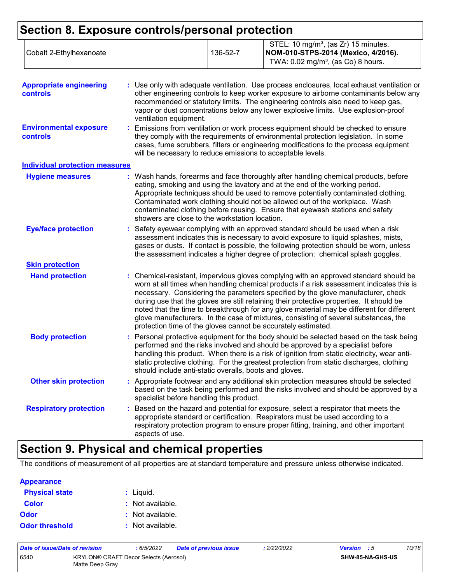| Cobalt 2-Ethylhexanoate | 136-52-7 | STEL: 10 mg/m <sup>3</sup> , (as Zr) 15 minutes.<br> NOM-010-STPS-2014 (Mexico, 4/2016).<br>TWA: $0.02 \text{ mg/m}^3$ , (as Co) 8 hours. |
|-------------------------|----------|-------------------------------------------------------------------------------------------------------------------------------------------|
|-------------------------|----------|-------------------------------------------------------------------------------------------------------------------------------------------|

| <b>Appropriate engineering</b><br>controls       | : Use only with adequate ventilation. Use process enclosures, local exhaust ventilation or<br>other engineering controls to keep worker exposure to airborne contaminants below any<br>recommended or statutory limits. The engineering controls also need to keep gas,<br>vapor or dust concentrations below any lower explosive limits. Use explosion-proof<br>ventilation equipment.                                                                                                                                                                                                                                |
|--------------------------------------------------|------------------------------------------------------------------------------------------------------------------------------------------------------------------------------------------------------------------------------------------------------------------------------------------------------------------------------------------------------------------------------------------------------------------------------------------------------------------------------------------------------------------------------------------------------------------------------------------------------------------------|
| <b>Environmental exposure</b><br><b>controls</b> | : Emissions from ventilation or work process equipment should be checked to ensure<br>they comply with the requirements of environmental protection legislation. In some<br>cases, fume scrubbers, filters or engineering modifications to the process equipment<br>will be necessary to reduce emissions to acceptable levels.                                                                                                                                                                                                                                                                                        |
| <b>Individual protection measures</b>            |                                                                                                                                                                                                                                                                                                                                                                                                                                                                                                                                                                                                                        |
| <b>Hygiene measures</b>                          | : Wash hands, forearms and face thoroughly after handling chemical products, before<br>eating, smoking and using the lavatory and at the end of the working period.<br>Appropriate techniques should be used to remove potentially contaminated clothing.<br>Contaminated work clothing should not be allowed out of the workplace. Wash<br>contaminated clothing before reusing. Ensure that eyewash stations and safety<br>showers are close to the workstation location.                                                                                                                                            |
| <b>Eye/face protection</b>                       | Safety eyewear complying with an approved standard should be used when a risk<br>assessment indicates this is necessary to avoid exposure to liquid splashes, mists,<br>gases or dusts. If contact is possible, the following protection should be worn, unless<br>the assessment indicates a higher degree of protection: chemical splash goggles.                                                                                                                                                                                                                                                                    |
| <b>Skin protection</b>                           |                                                                                                                                                                                                                                                                                                                                                                                                                                                                                                                                                                                                                        |
| <b>Hand protection</b>                           | : Chemical-resistant, impervious gloves complying with an approved standard should be<br>worn at all times when handling chemical products if a risk assessment indicates this is<br>necessary. Considering the parameters specified by the glove manufacturer, check<br>during use that the gloves are still retaining their protective properties. It should be<br>noted that the time to breakthrough for any glove material may be different for different<br>glove manufacturers. In the case of mixtures, consisting of several substances, the<br>protection time of the gloves cannot be accurately estimated. |
| <b>Body protection</b>                           | : Personal protective equipment for the body should be selected based on the task being<br>performed and the risks involved and should be approved by a specialist before<br>handling this product. When there is a risk of ignition from static electricity, wear anti-<br>static protective clothing. For the greatest protection from static discharges, clothing<br>should include anti-static overalls, boots and gloves.                                                                                                                                                                                         |
| <b>Other skin protection</b>                     | : Appropriate footwear and any additional skin protection measures should be selected<br>based on the task being performed and the risks involved and should be approved by a<br>specialist before handling this product.                                                                                                                                                                                                                                                                                                                                                                                              |
| <b>Respiratory protection</b>                    | : Based on the hazard and potential for exposure, select a respirator that meets the<br>appropriate standard or certification. Respirators must be used according to a<br>respiratory protection program to ensure proper fitting, training, and other important<br>aspects of use.                                                                                                                                                                                                                                                                                                                                    |

# **Section 9. Physical and chemical properties**

The conditions of measurement of all properties are at standard temperature and pressure unless otherwise indicated.

| <b>Appearance</b>     |                  |
|-----------------------|------------------|
| <b>Physical state</b> | : Liquid.        |
| <b>Color</b>          | : Not available. |
| Odor                  | : Not available. |
| <b>Odor threshold</b> | : Not available. |

| Date of issue/Date of revision                                          |  | : 6/5/2022 | <b>Date of previous issue</b> | : 2/22/2022 | <b>Version</b> : 5 | 10/18 |
|-------------------------------------------------------------------------|--|------------|-------------------------------|-------------|--------------------|-------|
| 6540<br><b>KRYLON® CRAFT Decor Selects (Aerosol)</b><br>Matte Deep Gray |  |            | <b>SHW-85-NA-GHS-US</b>       |             |                    |       |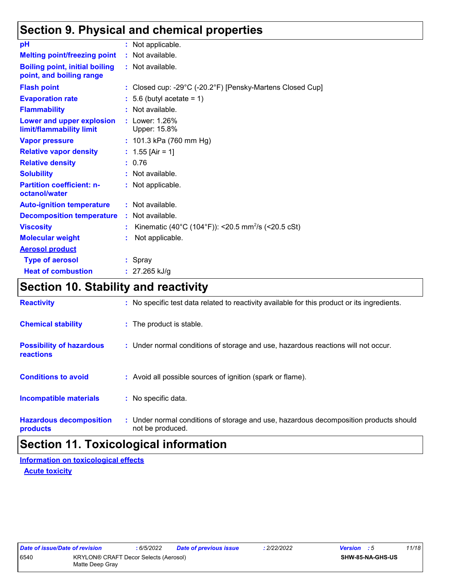# **Section 9. Physical and chemical properties**

| pH                                                                | : Not applicable.                                                |
|-------------------------------------------------------------------|------------------------------------------------------------------|
| <b>Melting point/freezing point</b>                               | : Not available.                                                 |
| <b>Boiling point, initial boiling</b><br>point, and boiling range | : Not available.                                                 |
| <b>Flash point</b>                                                | : Closed cup: -29°C (-20.2°F) [Pensky-Martens Closed Cup]        |
| <b>Evaporation rate</b>                                           | $: 5.6$ (butyl acetate = 1)                                      |
| <b>Flammability</b>                                               | : Not available.                                                 |
| Lower and upper explosion<br>limit/flammability limit             | : Lower: 1.26%<br>Upper: 15.8%                                   |
| <b>Vapor pressure</b>                                             | : $101.3$ kPa (760 mm Hg)                                        |
| <b>Relative vapor density</b>                                     | : $1.55$ [Air = 1]                                               |
| <b>Relative density</b>                                           | : 0.76                                                           |
| <b>Solubility</b>                                                 | : Not available.                                                 |
| <b>Partition coefficient: n-</b><br>octanol/water                 | : Not applicable.                                                |
| <b>Auto-ignition temperature</b>                                  | : Not available.                                                 |
| <b>Decomposition temperature</b>                                  | : Not available.                                                 |
| <b>Viscosity</b>                                                  | : Kinematic (40°C (104°F)): <20.5 mm <sup>2</sup> /s (<20.5 cSt) |
| <b>Molecular weight</b>                                           | Not applicable.                                                  |
| <b>Aerosol product</b>                                            |                                                                  |
| <b>Type of aerosol</b>                                            | : Spray                                                          |
| <b>Heat of combustion</b>                                         | : $27.265$ kJ/g                                                  |

# **Section 10. Stability and reactivity**

| <b>Reactivity</b>                            | : No specific test data related to reactivity available for this product or its ingredients.              |
|----------------------------------------------|-----------------------------------------------------------------------------------------------------------|
| <b>Chemical stability</b>                    | : The product is stable.                                                                                  |
| <b>Possibility of hazardous</b><br>reactions | : Under normal conditions of storage and use, hazardous reactions will not occur.                         |
| <b>Conditions to avoid</b>                   | : Avoid all possible sources of ignition (spark or flame).                                                |
| <b>Incompatible materials</b>                | : No specific data.                                                                                       |
| <b>Hazardous decomposition</b><br>products   | : Under normal conditions of storage and use, hazardous decomposition products should<br>not be produced. |

# **Section 11. Toxicological information**

**Information on toxicological effects**

**Acute toxicity**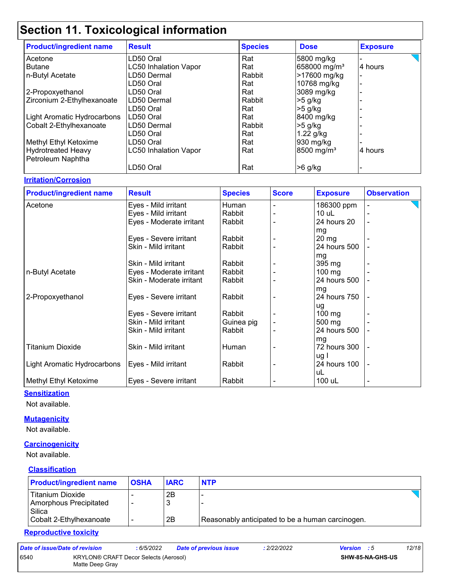# **Section 11. Toxicological information**

| <b>Product/ingredient name</b> | <b>Result</b>                | <b>Species</b> | <b>Dose</b>              | <b>Exposure</b> |
|--------------------------------|------------------------------|----------------|--------------------------|-----------------|
| Acetone                        | LD50 Oral                    | Rat            | 5800 mg/kg               |                 |
| Butane                         | <b>LC50 Inhalation Vapor</b> | Rat            | 658000 mg/m <sup>3</sup> | 4 hours         |
| n-Butyl Acetate                | LD50 Dermal                  | Rabbit         | >17600 mg/kg             |                 |
|                                | LD50 Oral                    | Rat            | 10768 mg/kg              |                 |
| 2-Propoxyethanol               | LD50 Oral                    | Rat            | 3089 mg/kg               |                 |
| Zirconium 2-Ethylhexanoate     | LD50 Dermal                  | Rabbit         | $>5$ g/kg                |                 |
|                                | LD50 Oral                    | Rat            | $>5$ g/kg                |                 |
| Light Aromatic Hydrocarbons    | LD50 Oral                    | Rat            | 8400 mg/kg               |                 |
| Cobalt 2-Ethylhexanoate        | LD50 Dermal                  | Rabbit         | $>5$ g/kg                |                 |
|                                | LD50 Oral                    | Rat            | $1.22$ g/kg              |                 |
| Methyl Ethyl Ketoxime          | LD50 Oral                    | Rat            | 930 mg/kg                |                 |
| Hydrotreated Heavy             | <b>LC50 Inhalation Vapor</b> | Rat            | 8500 mg/m <sup>3</sup>   | 4 hours         |
| Petroleum Naphtha              |                              |                |                          |                 |
|                                | LD50 Oral                    | Rat            | $>6$ g/kg                |                 |

### **Irritation/Corrosion**

| <b>Product/ingredient name</b> | <b>Result</b>            | <b>Species</b> | <b>Score</b> | <b>Exposure</b>    | <b>Observation</b> |
|--------------------------------|--------------------------|----------------|--------------|--------------------|--------------------|
| Acetone                        | Eyes - Mild irritant     | Human          |              | 186300 ppm         |                    |
|                                | Eyes - Mild irritant     | Rabbit         |              | $10$ uL            |                    |
|                                | Eyes - Moderate irritant | Rabbit         |              | 24 hours 20        | $\blacksquare$     |
|                                |                          |                |              | mg                 |                    |
|                                | Eyes - Severe irritant   | Rabbit         |              | $20 \,\mathrm{mg}$ |                    |
|                                | Skin - Mild irritant     | Rabbit         |              | 24 hours 500       |                    |
|                                |                          |                |              | mg                 |                    |
|                                | Skin - Mild irritant     | Rabbit         |              | 395 mg             |                    |
| n-Butyl Acetate                | Eyes - Moderate irritant | Rabbit         |              | $100$ mg           |                    |
|                                | Skin - Moderate irritant | Rabbit         |              | 24 hours 500       |                    |
|                                |                          |                |              | mg                 |                    |
| 2-Propoxyethanol               | Eyes - Severe irritant   | Rabbit         |              | 24 hours 750       |                    |
|                                |                          |                |              | ug                 |                    |
|                                | Eyes - Severe irritant   | Rabbit         |              | $100 \text{ mg}$   |                    |
|                                | Skin - Mild irritant     | Guinea pig     |              | 500 mg             |                    |
|                                | Skin - Mild irritant     | Rabbit         |              | 24 hours 500       |                    |
|                                |                          |                |              | mg                 |                    |
| <b>Titanium Dioxide</b>        | Skin - Mild irritant     | Human          |              | 72 hours 300       |                    |
|                                |                          |                |              | ug I               |                    |
| Light Aromatic Hydrocarbons    | Eyes - Mild irritant     | Rabbit         |              | 24 hours 100       |                    |
|                                |                          |                |              | uL                 |                    |
| Methyl Ethyl Ketoxime          | Eyes - Severe irritant   | Rabbit         |              | 100 uL             |                    |

### **Sensitization**

Not available.

### **Mutagenicity**

Not available.

### **Carcinogenicity**

Not available.

## **Classification**

| <b>Product/ingredient name</b>                                                  | <b>OSHA</b> | <b>IARC</b> | <b>NTP</b>                                       |  |
|---------------------------------------------------------------------------------|-------------|-------------|--------------------------------------------------|--|
| Titanium Dioxide<br>Amorphous Precipitated<br>Silica<br>Cobalt 2-Ethylhexanoate | -           | 2Β<br>2B    | Reasonably anticipated to be a human carcinogen. |  |

### **Reproductive toxicity**

| Date of issue/Date of revision |                                                          | : 6/5/2022 | <b>Date of previous issue</b> | : 2/22/2022             | <b>Version</b> : 5 | 12/18 |
|--------------------------------|----------------------------------------------------------|------------|-------------------------------|-------------------------|--------------------|-------|
| 6540                           | KRYLON® CRAFT Decor Selects (Aerosol)<br>Matte Deep Gray |            |                               | <b>SHW-85-NA-GHS-US</b> |                    |       |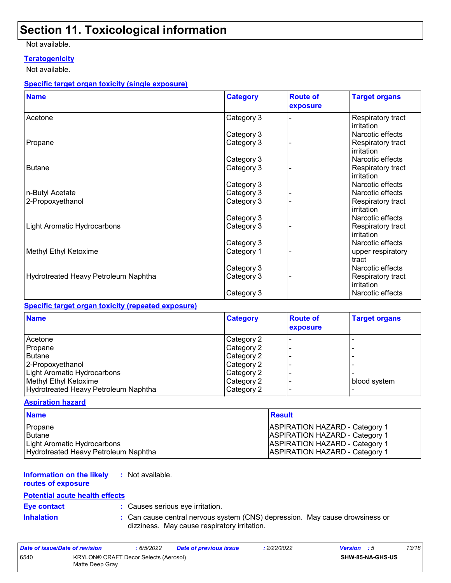# **Section 11. Toxicological information**

### Not available.

## **Teratogenicity**

Not available.

### **Specific target organ toxicity (single exposure)**

| <b>Name</b>                          | <b>Category</b> | <b>Route of</b><br>exposure | <b>Target organs</b>            |
|--------------------------------------|-----------------|-----------------------------|---------------------------------|
| Acetone                              | Category 3      |                             | Respiratory tract<br>irritation |
|                                      | Category 3      |                             | Narcotic effects                |
| Propane                              | Category 3      |                             | Respiratory tract<br>irritation |
|                                      | Category 3      |                             | Narcotic effects                |
| <b>Butane</b>                        | Category 3      |                             | Respiratory tract<br>irritation |
|                                      | Category 3      |                             | Narcotic effects                |
| n-Butyl Acetate                      | Category 3      |                             | Narcotic effects                |
| 2-Propoxyethanol                     | Category 3      |                             | Respiratory tract<br>irritation |
|                                      | Category 3      |                             | Narcotic effects                |
| Light Aromatic Hydrocarbons          | Category 3      |                             | Respiratory tract<br>irritation |
|                                      | Category 3      |                             | Narcotic effects                |
| Methyl Ethyl Ketoxime                | Category 1      |                             | upper respiratory<br>tract      |
|                                      | Category 3      |                             | Narcotic effects                |
| Hydrotreated Heavy Petroleum Naphtha | Category 3      |                             | Respiratory tract<br>irritation |
|                                      | Category 3      |                             | Narcotic effects                |

### **Specific target organ toxicity (repeated exposure)**

| <b>Name</b>                          | Category   | <b>Route of</b><br>exposure | <b>Target organs</b> |
|--------------------------------------|------------|-----------------------------|----------------------|
| Acetone                              | Category 2 |                             |                      |
| Propane                              | Category 2 |                             |                      |
| <b>Butane</b>                        | Category 2 |                             |                      |
| 2-Propoxyethanol                     | Category 2 |                             |                      |
| Light Aromatic Hydrocarbons          | Category 2 |                             |                      |
| Methyl Ethyl Ketoxime                | Category 2 |                             | blood system         |
| Hydrotreated Heavy Petroleum Naphtha | Category 2 |                             |                      |

### **Aspiration hazard**

| <b>Name</b>                          | <b>Result</b>                         |
|--------------------------------------|---------------------------------------|
| Propane                              | <b>ASPIRATION HAZARD - Category 1</b> |
| l Butane                             | <b>ASPIRATION HAZARD - Category 1</b> |
| Light Aromatic Hydrocarbons          | <b>ASPIRATION HAZARD - Category 1</b> |
| Hydrotreated Heavy Petroleum Naphtha | <b>ASPIRATION HAZARD - Category 1</b> |

#### **Information on the likely :** Not available.

**routes of exposure**

## **Potential acute health effects**

**Eye contact :** Causes serious eye irritation.

- 
- **Inhalation :** Can cause central nervous system (CNS) depression. May cause drowsiness or dizziness. May cause respiratory irritation.

| Date of issue/Date of revision |                                                          | : 6/5/2022 | Date of previous issue | : 2/22/2022 | <b>Version</b> : 5 |                         | 13/18 |
|--------------------------------|----------------------------------------------------------|------------|------------------------|-------------|--------------------|-------------------------|-------|
| 6540                           | KRYLON® CRAFT Decor Selects (Aerosol)<br>Matte Deep Gray |            |                        |             |                    | <b>SHW-85-NA-GHS-US</b> |       |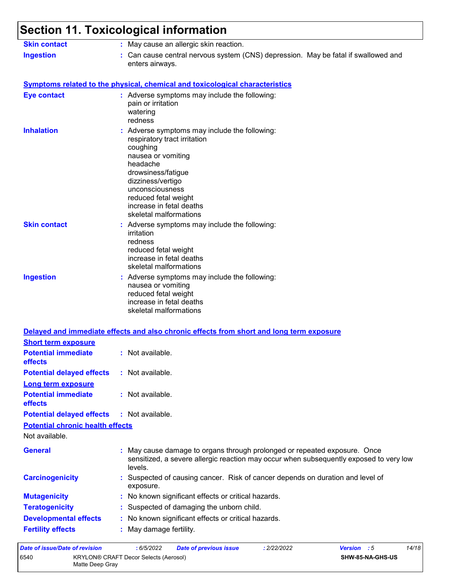### **Section 11. Toxicological information** Can cause central nervous system (CNS) depression. May be fatal if swallowed and enters airways. **Ingestion : Skin contact :** May cause an allergic skin reaction.

## **Symptoms related to the physical, chemical and toxicological characteristics**

| <b>Eye contact</b>                      | : Adverse symptoms may include the following:<br>pain or irritation<br>watering<br>redness                                                                                                                                                                              |
|-----------------------------------------|-------------------------------------------------------------------------------------------------------------------------------------------------------------------------------------------------------------------------------------------------------------------------|
| <b>Inhalation</b>                       | : Adverse symptoms may include the following:<br>respiratory tract irritation<br>coughing<br>nausea or vomiting<br>headache<br>drowsiness/fatigue<br>dizziness/vertigo<br>unconsciousness<br>reduced fetal weight<br>increase in fetal deaths<br>skeletal malformations |
| <b>Skin contact</b>                     | : Adverse symptoms may include the following:<br>irritation<br>redness<br>reduced fetal weight<br>increase in fetal deaths<br>skeletal malformations                                                                                                                    |
| <b>Ingestion</b>                        | : Adverse symptoms may include the following:<br>nausea or vomiting<br>reduced fetal weight<br>increase in fetal deaths<br>skeletal malformations                                                                                                                       |
|                                         | Delayed and immediate effects and also chronic effects from short and long term exposure                                                                                                                                                                                |
| <b>Short term exposure</b>              |                                                                                                                                                                                                                                                                         |
| <b>Potential immediate</b><br>effects   | : Not available.                                                                                                                                                                                                                                                        |
| <b>Potential delayed effects</b>        | : Not available.                                                                                                                                                                                                                                                        |
| Long term exposure                      |                                                                                                                                                                                                                                                                         |
| <b>Potential immediate</b><br>effects   | : Not available.                                                                                                                                                                                                                                                        |
| <b>Potential delayed effects</b>        | : Not available.                                                                                                                                                                                                                                                        |
| <b>Potential chronic health effects</b> |                                                                                                                                                                                                                                                                         |
| Not available.                          |                                                                                                                                                                                                                                                                         |
| <b>General</b>                          | May cause damage to organs through prolonged or repeated exposure. Once<br>sensitized, a severe allergic reaction may occur when subsequently exposed to very low<br>levels.                                                                                            |
| <b>Carcinogenicity</b>                  | : Suspected of causing cancer. Risk of cancer depends on duration and level of<br>exposure.                                                                                                                                                                             |
| <b>Mutagenicity</b>                     | No known significant effects or critical hazards.                                                                                                                                                                                                                       |
| <b>Teratogenicity</b>                   | Suspected of damaging the unborn child.                                                                                                                                                                                                                                 |
| <b>Developmental effects</b>            | : No known significant effects or critical hazards.                                                                                                                                                                                                                     |
| <b>Fertility effects</b>                | : May damage fertility.                                                                                                                                                                                                                                                 |
|                                         |                                                                                                                                                                                                                                                                         |

| Date of issue/Date of revision |                                                          | : 6/5/2022 | <b>Date of previous issue</b> | : 2/22/2022 | <b>Version</b> : 5      | 14/18 |
|--------------------------------|----------------------------------------------------------|------------|-------------------------------|-------------|-------------------------|-------|
| 6540                           | KRYLON® CRAFT Decor Selects (Aerosol)<br>Matte Deep Gray |            |                               |             | <b>SHW-85-NA-GHS-US</b> |       |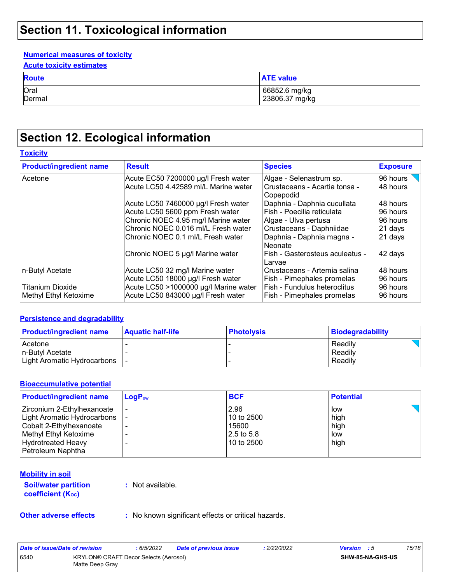# **Section 11. Toxicological information**

## **Numerical measures of toxicity**

| <b>Acute toxicity estimates</b> |
|---------------------------------|
|---------------------------------|

| <b>Route</b> | <b>ATE value</b> |
|--------------|------------------|
| Oral         | 66852.6 mg/kg    |
| Dermal       | 23806.37 mg/kg   |

# **Section 12. Ecological information**

### **Toxicity**

| <b>Product/ingredient name</b> | <b>Result</b>                         | <b>Species</b>                             | <b>Exposure</b> |
|--------------------------------|---------------------------------------|--------------------------------------------|-----------------|
| Acetone                        | Acute EC50 7200000 µg/l Fresh water   | Algae - Selenastrum sp.                    | 96 hours        |
|                                | Acute LC50 4.42589 ml/L Marine water  | Crustaceans - Acartia tonsa -<br>Copepodid | 48 hours        |
|                                | Acute LC50 7460000 µg/l Fresh water   | Daphnia - Daphnia cucullata                | 48 hours        |
|                                | Acute LC50 5600 ppm Fresh water       | Fish - Poecilia reticulata                 | 96 hours        |
|                                | Chronic NOEC 4.95 mg/l Marine water   | Algae - Ulva pertusa                       | 96 hours        |
|                                | Chronic NOEC 0.016 ml/L Fresh water   | Crustaceans - Daphniidae                   | 21 days         |
|                                | Chronic NOEC 0.1 ml/L Fresh water     | Daphnia - Daphnia magna -<br>Neonate       | 21 days         |
|                                | Chronic NOEC 5 µg/l Marine water      | Fish - Gasterosteus aculeatus -<br>Larvae  | 42 days         |
| n-Butyl Acetate                | Acute LC50 32 mg/l Marine water       | Crustaceans - Artemia salina               | 48 hours        |
|                                | Acute LC50 18000 µg/l Fresh water     | Fish - Pimephales promelas                 | 96 hours        |
| <b>Titanium Dioxide</b>        | Acute LC50 >1000000 µg/l Marine water | Fish - Fundulus heteroclitus               | 96 hours        |
| Methyl Ethyl Ketoxime          | Acute LC50 843000 µg/l Fresh water    | Fish - Pimephales promelas                 | 96 hours        |

### **Persistence and degradability**

| <b>Product/ingredient name</b> | <b>Aquatic half-life</b> | <b>Photolysis</b> | Biodegradability |
|--------------------------------|--------------------------|-------------------|------------------|
| <b>Acetone</b>                 |                          |                   | Readily          |
| In-Butvl Acetate               |                          |                   | Readily          |
| Light Aromatic Hydrocarbons    |                          |                   | Readily          |

### **Bioaccumulative potential**

| <b>Product/ingredient name</b> | $LogP_{ow}$ | <b>BCF</b> | <b>Potential</b> |
|--------------------------------|-------------|------------|------------------|
| Zirconium 2-Ethylhexanoate     |             | 2.96       | low              |
| Light Aromatic Hydrocarbons    |             | 10 to 2500 | high             |
| Cobalt 2-Ethylhexanoate        |             | 15600      | high             |
| Methyl Ethyl Ketoxime          |             | 2.5 to 5.8 | low              |
| <b>Hydrotreated Heavy</b>      |             | 10 to 2500 | high             |
| Petroleum Naphtha              |             |            |                  |

### **Mobility in soil**

**Soil/water partition coefficient (KOC)**

**:** Not available.

**Other adverse effects** : No known significant effects or critical hazards.

| Date of issue/Date of revision |                                                          | : 6/5/2022 | <b>Date of previous issue</b> | : 2/22/2022 | <b>Version</b> : 5 |                         | 15/18 |
|--------------------------------|----------------------------------------------------------|------------|-------------------------------|-------------|--------------------|-------------------------|-------|
| 6540                           | KRYLON® CRAFT Decor Selects (Aerosol)<br>Matte Deep Gray |            |                               |             |                    | <b>SHW-85-NA-GHS-US</b> |       |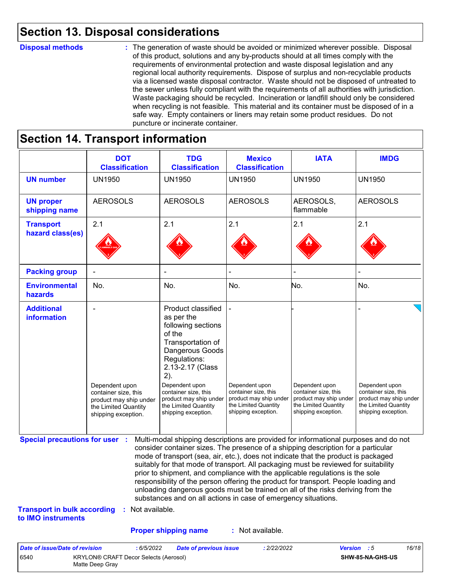# **Section 13. Disposal considerations**

### **Disposal methods :**

The generation of waste should be avoided or minimized wherever possible. Disposal of this product, solutions and any by-products should at all times comply with the requirements of environmental protection and waste disposal legislation and any regional local authority requirements. Dispose of surplus and non-recyclable products via a licensed waste disposal contractor. Waste should not be disposed of untreated to the sewer unless fully compliant with the requirements of all authorities with jurisdiction. Waste packaging should be recycled. Incineration or landfill should only be considered when recycling is not feasible. This material and its container must be disposed of in a safe way. Empty containers or liners may retain some product residues. Do not puncture or incinerate container.

# **Section 14. Transport information**

6540 KRYLON® CRAFT Decor Selects (Aerosol) Matte Deep Gray

|                                                                             | <b>DOT</b><br><b>Classification</b>                                                                             | <b>TDG</b><br><b>Classification</b>                                                                                                                                                                                                                                                                                                                                                                                                                                                                                                                                                                                                                                                 | <b>Mexico</b><br><b>Classification</b>                                                                          | <b>IATA</b>                                                                                                     | <b>IMDG</b>                                                                                                     |
|-----------------------------------------------------------------------------|-----------------------------------------------------------------------------------------------------------------|-------------------------------------------------------------------------------------------------------------------------------------------------------------------------------------------------------------------------------------------------------------------------------------------------------------------------------------------------------------------------------------------------------------------------------------------------------------------------------------------------------------------------------------------------------------------------------------------------------------------------------------------------------------------------------------|-----------------------------------------------------------------------------------------------------------------|-----------------------------------------------------------------------------------------------------------------|-----------------------------------------------------------------------------------------------------------------|
| <b>UN number</b>                                                            | <b>UN1950</b>                                                                                                   | <b>UN1950</b>                                                                                                                                                                                                                                                                                                                                                                                                                                                                                                                                                                                                                                                                       | <b>UN1950</b>                                                                                                   | <b>UN1950</b>                                                                                                   | <b>UN1950</b>                                                                                                   |
| <b>UN proper</b><br>shipping name                                           | <b>AEROSOLS</b>                                                                                                 | <b>AEROSOLS</b>                                                                                                                                                                                                                                                                                                                                                                                                                                                                                                                                                                                                                                                                     | <b>AEROSOLS</b>                                                                                                 | AEROSOLS,<br>flammable                                                                                          | <b>AEROSOLS</b>                                                                                                 |
| <b>Transport</b><br>hazard class(es)                                        | 2.1                                                                                                             | 2.1                                                                                                                                                                                                                                                                                                                                                                                                                                                                                                                                                                                                                                                                                 | 2.1                                                                                                             | 2.1                                                                                                             | 2.1                                                                                                             |
| <b>Packing group</b>                                                        |                                                                                                                 |                                                                                                                                                                                                                                                                                                                                                                                                                                                                                                                                                                                                                                                                                     |                                                                                                                 |                                                                                                                 |                                                                                                                 |
| <b>Environmental</b><br>hazards                                             | No.                                                                                                             | No.                                                                                                                                                                                                                                                                                                                                                                                                                                                                                                                                                                                                                                                                                 | No.                                                                                                             | No.                                                                                                             | No.                                                                                                             |
| <b>Additional</b><br>information                                            | Dependent upon<br>container size, this<br>product may ship under<br>the Limited Quantity<br>shipping exception. | Product classified<br>as per the<br>following sections<br>of the<br>Transportation of<br>Dangerous Goods<br>Regulations:<br>2.13-2.17 (Class<br>2).<br>Dependent upon<br>container size, this<br>product may ship under<br>the Limited Quantity<br>shipping exception.                                                                                                                                                                                                                                                                                                                                                                                                              | Dependent upon<br>container size, this<br>product may ship under<br>the Limited Quantity<br>shipping exception. | Dependent upon<br>container size, this<br>product may ship under<br>the Limited Quantity<br>shipping exception. | Dependent upon<br>container size, this<br>product may ship under<br>the Limited Quantity<br>shipping exception. |
| <b>Special precautions for user :</b><br><b>Transport in bulk according</b> | : Not available.                                                                                                | Multi-modal shipping descriptions are provided for informational purposes and do not<br>consider container sizes. The presence of a shipping description for a particular<br>mode of transport (sea, air, etc.), does not indicate that the product is packaged<br>suitably for that mode of transport. All packaging must be reviewed for suitability<br>prior to shipment, and compliance with the applicable regulations is the sole<br>responsibility of the person offering the product for transport. People loading and<br>unloading dangerous goods must be trained on all of the risks deriving from the<br>substances and on all actions in case of emergency situations. |                                                                                                                 |                                                                                                                 |                                                                                                                 |
| to IMO instruments                                                          |                                                                                                                 |                                                                                                                                                                                                                                                                                                                                                                                                                                                                                                                                                                                                                                                                                     |                                                                                                                 |                                                                                                                 |                                                                                                                 |
|                                                                             |                                                                                                                 | <b>Proper shipping name</b>                                                                                                                                                                                                                                                                                                                                                                                                                                                                                                                                                                                                                                                         | : Not available.                                                                                                |                                                                                                                 |                                                                                                                 |

**SHW-85-NA-GHS-US**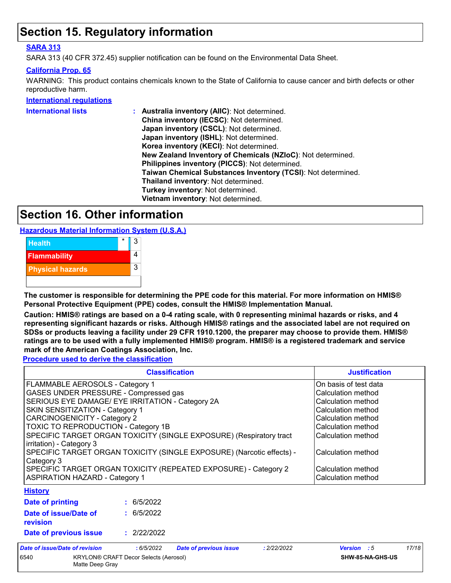# **Section 15. Regulatory information**

## **SARA 313**

SARA 313 (40 CFR 372.45) supplier notification can be found on the Environmental Data Sheet.

### **California Prop. 65**

WARNING: This product contains chemicals known to the State of California to cause cancer and birth defects or other reproductive harm.

### **International regulations**

| <b>International lists</b> | Australia inventory (AllC): Not determined.                  |
|----------------------------|--------------------------------------------------------------|
|                            | China inventory (IECSC): Not determined.                     |
|                            | Japan inventory (CSCL): Not determined.                      |
|                            | Japan inventory (ISHL): Not determined.                      |
|                            | Korea inventory (KECI): Not determined.                      |
|                            | New Zealand Inventory of Chemicals (NZIoC): Not determined.  |
|                            | Philippines inventory (PICCS): Not determined.               |
|                            | Taiwan Chemical Substances Inventory (TCSI): Not determined. |
|                            | Thailand inventory: Not determined.                          |
|                            | Turkey inventory: Not determined.                            |
|                            | Vietnam inventory: Not determined.                           |
|                            |                                                              |

# **Section 16. Other information**

**Hazardous Material Information System (U.S.A.)**



**The customer is responsible for determining the PPE code for this material. For more information on HMIS® Personal Protective Equipment (PPE) codes, consult the HMIS® Implementation Manual.**

**Caution: HMIS® ratings are based on a 0-4 rating scale, with 0 representing minimal hazards or risks, and 4 representing significant hazards or risks. Although HMIS® ratings and the associated label are not required on SDSs or products leaving a facility under 29 CFR 1910.1200, the preparer may choose to provide them. HMIS® ratings are to be used with a fully implemented HMIS® program. HMIS® is a registered trademark and service mark of the American Coatings Association, Inc.**

**Procedure used to derive the classification**

|                                                                                     | <b>Classification</b>                                                                                      |                               |             |                       |       |  |
|-------------------------------------------------------------------------------------|------------------------------------------------------------------------------------------------------------|-------------------------------|-------------|-----------------------|-------|--|
| FLAMMABLE AEROSOLS - Category 1                                                     |                                                                                                            |                               |             | On basis of test data |       |  |
| GASES UNDER PRESSURE - Compressed gas                                               |                                                                                                            | Calculation method            |             |                       |       |  |
| SERIOUS EYE DAMAGE/ EYE IRRITATION - Category 2A                                    | Calculation method                                                                                         |                               |             |                       |       |  |
| SKIN SENSITIZATION - Category 1                                                     | Calculation method                                                                                         |                               |             |                       |       |  |
| CARCINOGENICITY - Category 2                                                        |                                                                                                            |                               |             | Calculation method    |       |  |
|                                                                                     | TOXIC TO REPRODUCTION - Category 1B<br>SPECIFIC TARGET ORGAN TOXICITY (SINGLE EXPOSURE) (Respiratory tract |                               |             |                       |       |  |
| irritation) - Category 3                                                            |                                                                                                            |                               |             |                       |       |  |
| SPECIFIC TARGET ORGAN TOXICITY (SINGLE EXPOSURE) (Narcotic effects) -<br>Category 3 |                                                                                                            |                               |             | Calculation method    |       |  |
|                                                                                     | SPECIFIC TARGET ORGAN TOXICITY (REPEATED EXPOSURE) - Category 2                                            |                               |             | Calculation method    |       |  |
| <b>ASPIRATION HAZARD - Category 1</b>                                               |                                                                                                            |                               |             | Calculation method    |       |  |
| <b>History</b>                                                                      |                                                                                                            |                               |             |                       |       |  |
| Date of printing                                                                    | : 6/5/2022                                                                                                 |                               |             |                       |       |  |
| Date of issue/Date of<br>revision                                                   | : 6/5/2022                                                                                                 |                               |             |                       |       |  |
| Date of previous issue                                                              | : 2/22/2022                                                                                                |                               |             |                       |       |  |
| Date of issue/Date of revision                                                      | : 6/5/2022                                                                                                 | <b>Date of previous issue</b> | : 2/22/2022 | <b>Version</b> : 5    | 17/18 |  |